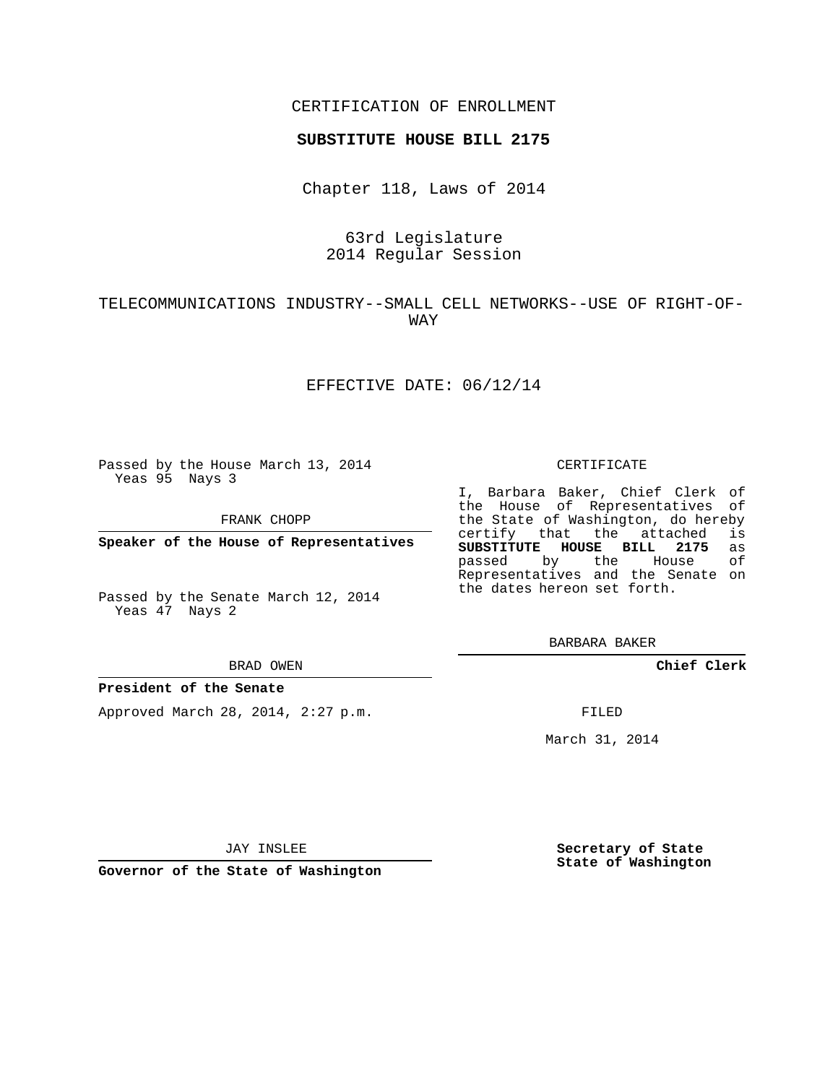## CERTIFICATION OF ENROLLMENT

### **SUBSTITUTE HOUSE BILL 2175**

Chapter 118, Laws of 2014

# 63rd Legislature 2014 Regular Session

# TELECOMMUNICATIONS INDUSTRY--SMALL CELL NETWORKS--USE OF RIGHT-OF-WAY

## EFFECTIVE DATE: 06/12/14

Passed by the House March 13, 2014 Yeas 95 Nays 3

FRANK CHOPP

**Speaker of the House of Representatives**

Passed by the Senate March 12, 2014 Yeas 47 Nays 2

#### BRAD OWEN

### **President of the Senate**

Approved March 28, 2014, 2:27 p.m.

#### CERTIFICATE

I, Barbara Baker, Chief Clerk of the House of Representatives of the State of Washington, do hereby<br>certify that the attached is certify that the attached **SUBSTITUTE HOUSE BILL 2175** as passed by the House of Representatives and the Senate on the dates hereon set forth.

BARBARA BAKER

**Chief Clerk**

FILED

March 31, 2014

JAY INSLEE

**Governor of the State of Washington**

**Secretary of State State of Washington**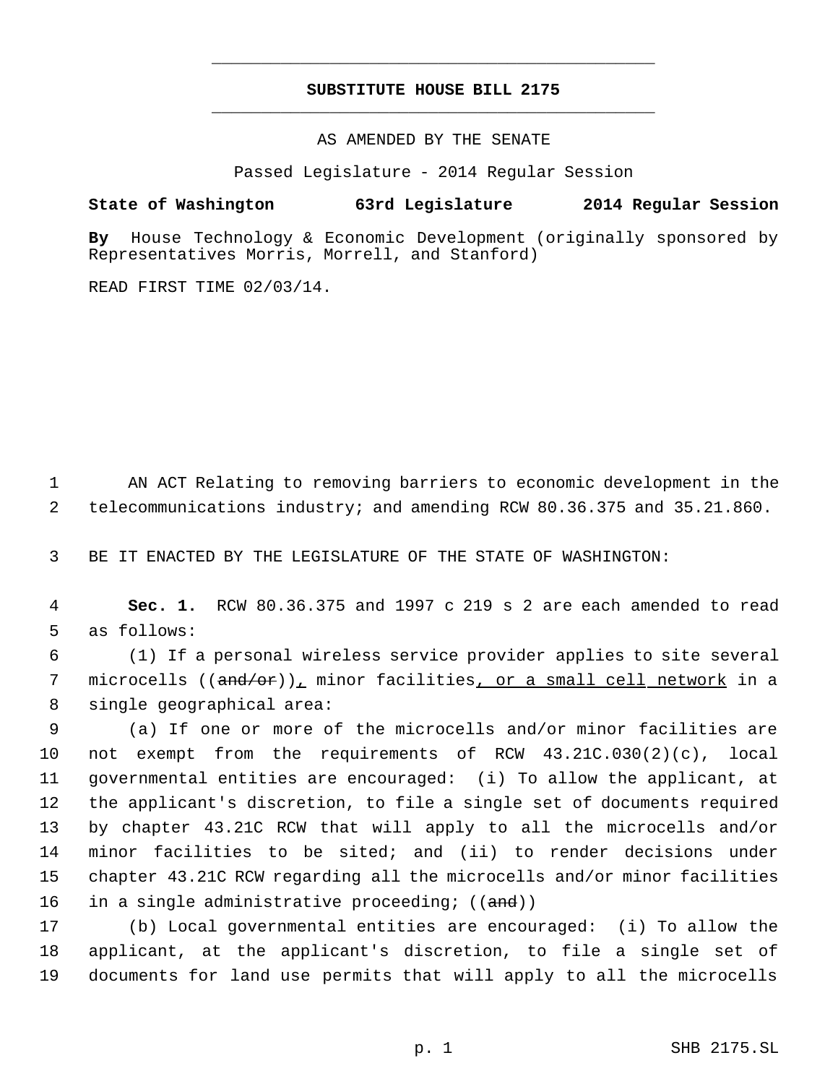# **SUBSTITUTE HOUSE BILL 2175** \_\_\_\_\_\_\_\_\_\_\_\_\_\_\_\_\_\_\_\_\_\_\_\_\_\_\_\_\_\_\_\_\_\_\_\_\_\_\_\_\_\_\_\_\_

\_\_\_\_\_\_\_\_\_\_\_\_\_\_\_\_\_\_\_\_\_\_\_\_\_\_\_\_\_\_\_\_\_\_\_\_\_\_\_\_\_\_\_\_\_

AS AMENDED BY THE SENATE

Passed Legislature - 2014 Regular Session

## **State of Washington 63rd Legislature 2014 Regular Session**

**By** House Technology & Economic Development (originally sponsored by Representatives Morris, Morrell, and Stanford)

READ FIRST TIME 02/03/14.

 1 AN ACT Relating to removing barriers to economic development in the 2 telecommunications industry; and amending RCW 80.36.375 and 35.21.860.

3 BE IT ENACTED BY THE LEGISLATURE OF THE STATE OF WASHINGTON:

 4 **Sec. 1.** RCW 80.36.375 and 1997 c 219 s 2 are each amended to read 5 as follows:

 6 (1) If a personal wireless service provider applies to site several 7 microcells ((<del>and/or</del>)), minor facilities<u>, or a small cell network</u> in a 8 single geographical area:

 (a) If one or more of the microcells and/or minor facilities are not exempt from the requirements of RCW 43.21C.030(2)(c), local governmental entities are encouraged: (i) To allow the applicant, at the applicant's discretion, to file a single set of documents required by chapter 43.21C RCW that will apply to all the microcells and/or minor facilities to be sited; and (ii) to render decisions under chapter 43.21C RCW regarding all the microcells and/or minor facilities 16 in a single administrative proceeding; ((and))

17 (b) Local governmental entities are encouraged: (i) To allow the 18 applicant, at the applicant's discretion, to file a single set of 19 documents for land use permits that will apply to all the microcells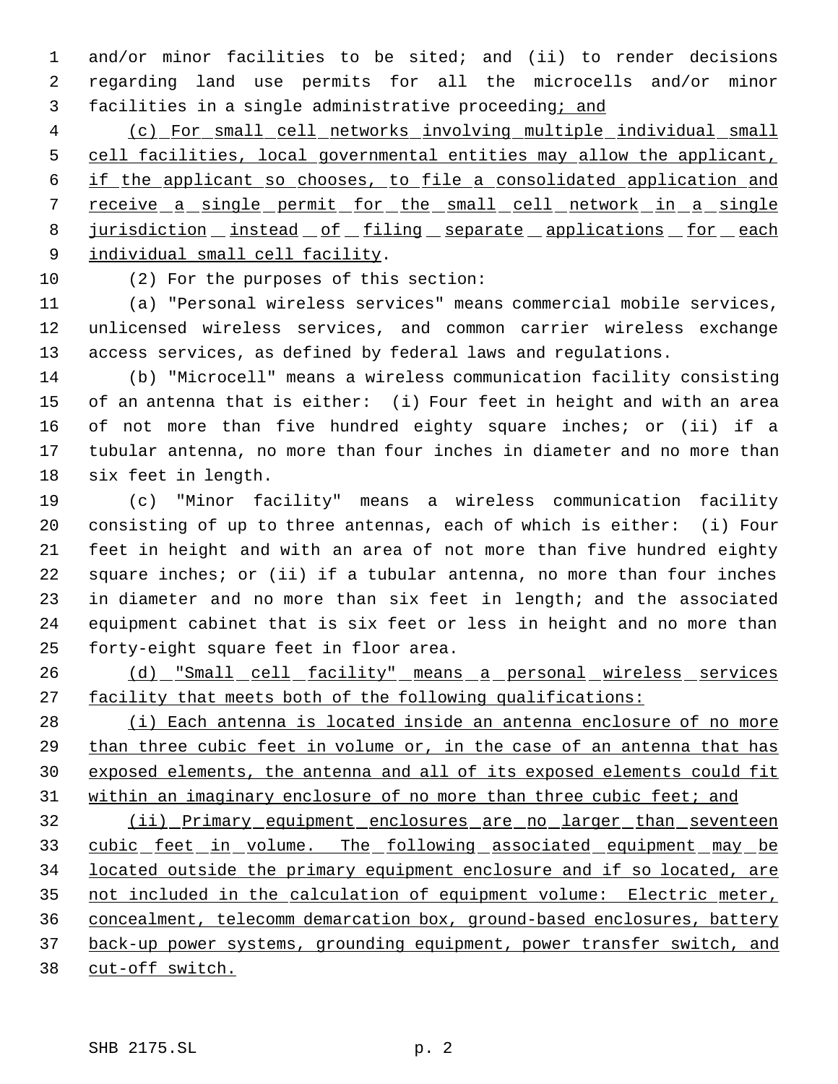and/or minor facilities to be sited; and (ii) to render decisions regarding land use permits for all the microcells and/or minor facilities in a single administrative proceeding; and

 (c) For small cell networks involving multiple individual small cell facilities, local governmental entities may allow the applicant, if the applicant so chooses, to file a consolidated application and 7 receive a single permit for the small cell network in a single 8 jurisdiction instead of filing separate applications for each individual small cell facility.

(2) For the purposes of this section:

 (a) "Personal wireless services" means commercial mobile services, unlicensed wireless services, and common carrier wireless exchange access services, as defined by federal laws and regulations.

 (b) "Microcell" means a wireless communication facility consisting of an antenna that is either: (i) Four feet in height and with an area of not more than five hundred eighty square inches; or (ii) if a tubular antenna, no more than four inches in diameter and no more than six feet in length.

 (c) "Minor facility" means a wireless communication facility consisting of up to three antennas, each of which is either: (i) Four feet in height and with an area of not more than five hundred eighty square inches; or (ii) if a tubular antenna, no more than four inches in diameter and no more than six feet in length; and the associated equipment cabinet that is six feet or less in height and no more than forty-eight square feet in floor area.

 (d) "Small cell facility" means a personal wireless services facility that meets both of the following qualifications:

28 (i) Each antenna is located inside an antenna enclosure of no more than three cubic feet in volume or, in the case of an antenna that has exposed elements, the antenna and all of its exposed elements could fit 31 within an imaginary enclosure of no more than three cubic feet; and

 (ii) Primary equipment enclosures are no larger than seventeen 33 cubic feet in volume. The following associated equipment may be located outside the primary equipment enclosure and if so located, are not included in the calculation of equipment volume: Electric meter, concealment, telecomm demarcation box, ground-based enclosures, battery back-up power systems, grounding equipment, power transfer switch, and cut-off switch.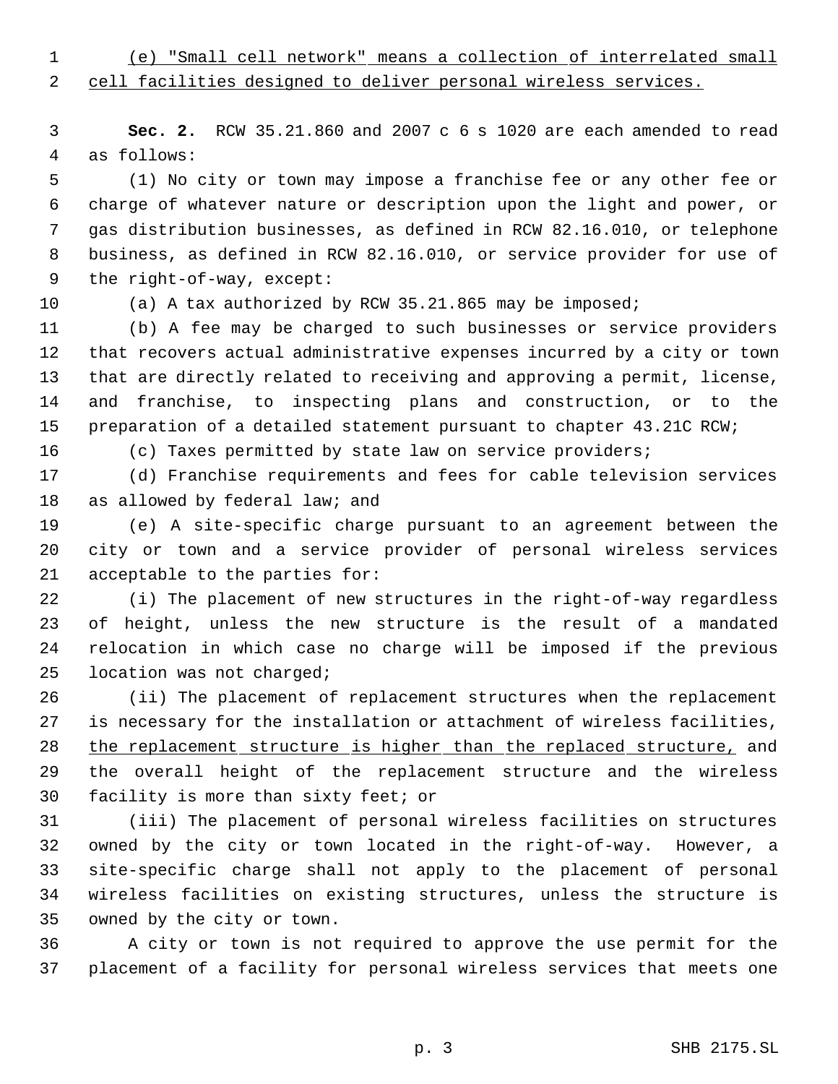(e) "Small cell network" means a collection of interrelated small

cell facilities designed to deliver personal wireless services.

 **Sec. 2.** RCW 35.21.860 and 2007 c 6 s 1020 are each amended to read as follows:

 (1) No city or town may impose a franchise fee or any other fee or charge of whatever nature or description upon the light and power, or gas distribution businesses, as defined in RCW 82.16.010, or telephone business, as defined in RCW 82.16.010, or service provider for use of the right-of-way, except:

(a) A tax authorized by RCW 35.21.865 may be imposed;

 (b) A fee may be charged to such businesses or service providers that recovers actual administrative expenses incurred by a city or town that are directly related to receiving and approving a permit, license, and franchise, to inspecting plans and construction, or to the preparation of a detailed statement pursuant to chapter 43.21C RCW;

(c) Taxes permitted by state law on service providers;

 (d) Franchise requirements and fees for cable television services as allowed by federal law; and

 (e) A site-specific charge pursuant to an agreement between the city or town and a service provider of personal wireless services acceptable to the parties for:

 (i) The placement of new structures in the right-of-way regardless of height, unless the new structure is the result of a mandated relocation in which case no charge will be imposed if the previous location was not charged;

 (ii) The placement of replacement structures when the replacement is necessary for the installation or attachment of wireless facilities, 28 the replacement structure is higher than the replaced structure, and the overall height of the replacement structure and the wireless facility is more than sixty feet; or

 (iii) The placement of personal wireless facilities on structures owned by the city or town located in the right-of-way. However, a site-specific charge shall not apply to the placement of personal wireless facilities on existing structures, unless the structure is owned by the city or town.

 A city or town is not required to approve the use permit for the placement of a facility for personal wireless services that meets one